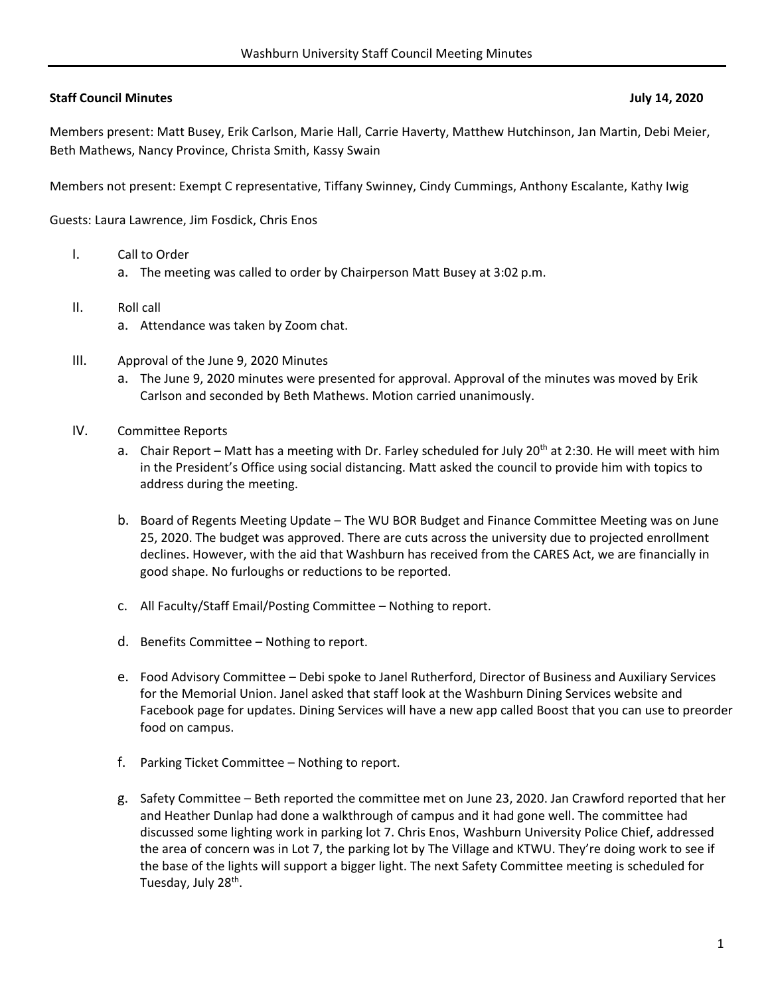## **Staff Council Minutes July 14, 2020**

Members present: Matt Busey, Erik Carlson, Marie Hall, Carrie Haverty, Matthew Hutchinson, Jan Martin, Debi Meier, Beth Mathews, Nancy Province, Christa Smith, Kassy Swain

Members not present: Exempt C representative, Tiffany Swinney, Cindy Cummings, Anthony Escalante, Kathy Iwig

Guests: Laura Lawrence, Jim Fosdick, Chris Enos

- I. Call to Order
	- a. The meeting was called to order by Chairperson Matt Busey at 3:02 p.m.
- II. Roll call
	- a. Attendance was taken by Zoom chat.
- III. Approval of the June 9, 2020 Minutes
	- a. The June 9, 2020 minutes were presented for approval. Approval of the minutes was moved by Erik Carlson and seconded by Beth Mathews. Motion carried unanimously.
- IV. Committee Reports
	- a. Chair Report Matt has a meeting with Dr. Farley scheduled for July 20<sup>th</sup> at 2:30. He will meet with him in the President's Office using social distancing. Matt asked the council to provide him with topics to address during the meeting.
	- b. Board of Regents Meeting Update The WU BOR Budget and Finance Committee Meeting was on June 25, 2020. The budget was approved. There are cuts across the university due to projected enrollment declines. However, with the aid that Washburn has received from the CARES Act, we are financially in good shape. No furloughs or reductions to be reported.
	- c. All Faculty/Staff Email/Posting Committee Nothing to report.
	- d. Benefits Committee Nothing to report.
	- e. Food Advisory Committee Debi spoke to Janel Rutherford, Director of Business and Auxiliary Services for the Memorial Union. Janel asked that staff look at the Washburn Dining Services website and Facebook page for updates. Dining Services will have a new app called Boost that you can use to preorder food on campus.
	- f. Parking Ticket Committee Nothing to report.
	- g. Safety Committee Beth reported the committee met on June 23, 2020. Jan Crawford reported that her and Heather Dunlap had done a walkthrough of campus and it had gone well. The committee had discussed some lighting work in parking lot 7. Chris Enos, Washburn University Police Chief, addressed the area of concern was in Lot 7, the parking lot by The Village and KTWU. They're doing work to see if the base of the lights will support a bigger light. The next Safety Committee meeting is scheduled for Tuesday, July 28<sup>th</sup>.